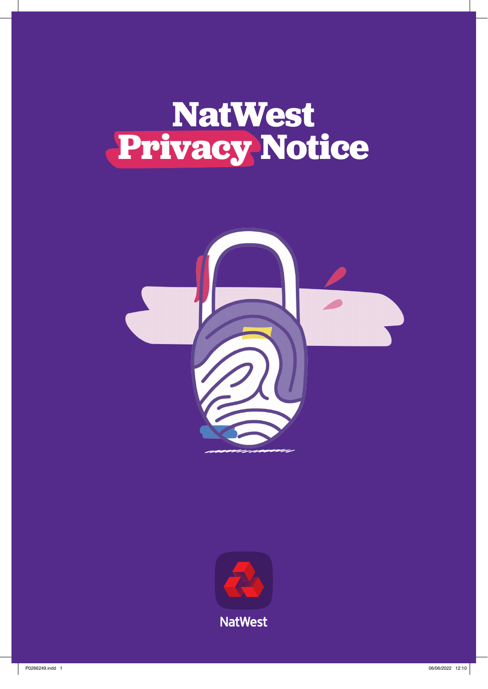# **NatWest Privacy Notice**



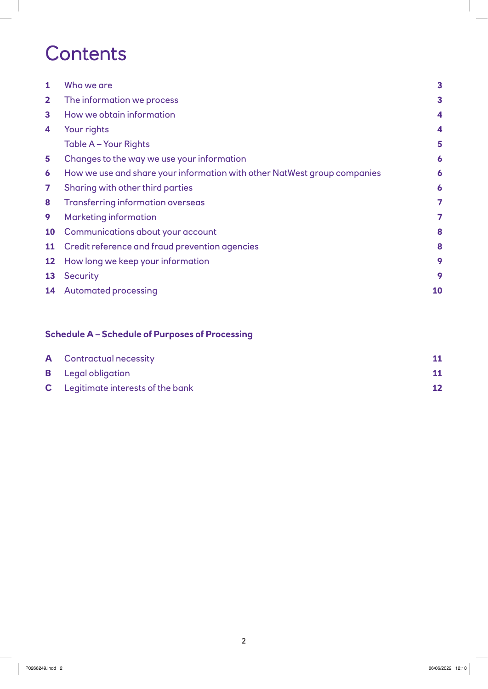# **Contents**

| 1            | Who we are                                                               | $\overline{\mathbf{3}}$ |  |
|--------------|--------------------------------------------------------------------------|-------------------------|--|
| $\mathbf{2}$ | The information we process                                               |                         |  |
| 3            | How we obtain information                                                | 4                       |  |
| 4            | Your rights                                                              | 4                       |  |
|              | Table A - Your Rights                                                    | 5                       |  |
| 5            | Changes to the way we use your information                               | 6                       |  |
| 6            | How we use and share your information with other NatWest group companies |                         |  |
| 7            | Sharing with other third parties                                         |                         |  |
| 8            | <b>Transferring information overseas</b>                                 | 7                       |  |
| 9            | <b>Marketing information</b>                                             |                         |  |
| <b>10</b>    | Communications about your account                                        | 8                       |  |
| <b>11</b>    | Credit reference and fraud prevention agencies                           | 8                       |  |
| 12           | How long we keep your information                                        | 9                       |  |
| 13           | <b>Security</b>                                                          | 9                       |  |
| 14           | <b>Automated processing</b>                                              | 10                      |  |
|              |                                                                          |                         |  |

### **Schedule A – Schedule of Purposes of Processing**

| <b>A</b> Contractual necessity            |  |
|-------------------------------------------|--|
| <b>B</b> Legal obligation                 |  |
| <b>C</b> Legitimate interests of the bank |  |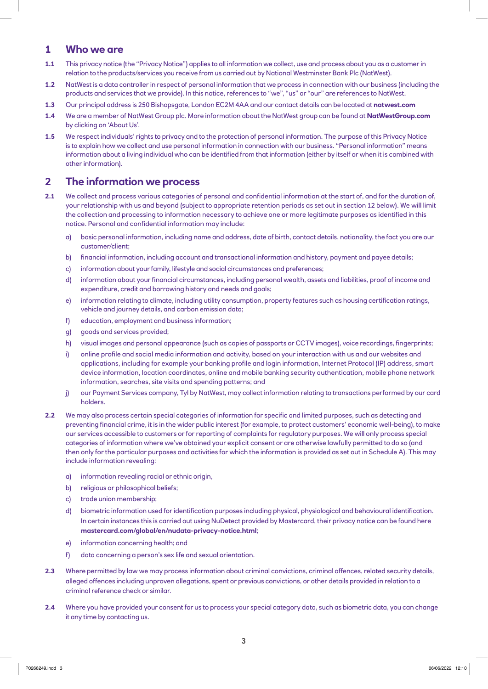#### **1 Who we are**

- **1.1** This privacy notice (the "Privacy Notice") applies to all information we collect, use and process about you as a customer in relation to the products/services you receive from us carried out by National Westminster Bank Plc (NatWest).
- **1.2** NatWest is a data controller in respect of personal information that we process in connection with our business (including the products and services that we provide). In this notice, references to "we", "us" or "our" are references to NatWest.
- **1.3** Our principal address is 250 Bishopsgate, London EC2M 4AA and our contact details can be located at **natwest.com**
- **1.4** We are a member of NatWest Group plc. More information about the NatWest group can be found at **NatWestGroup.com** by clicking on 'About Us'.
- **1.5** We respect individuals' rights to privacy and to the protection of personal information. The purpose of this Privacy Notice is to explain how we collect and use personal information in connection with our business. "Personal information" means information about a living individual who can be identified from that information (either by itself or when it is combined with other information).

#### **2 The information we process**

- **2.1** We collect and process various categories of personal and confidential information at the start of, and for the duration of, your relationship with us and beyond (subject to appropriate retention periods as set out in section 12 below). We will limit the collection and processing to information necessary to achieve one or more legitimate purposes as identified in this notice. Personal and confidential information may include:
	- a) basic personal information, including name and address, date of birth, contact details, nationality, the fact you are our customer/client;
	- b) financial information, including account and transactional information and history, payment and payee details;
	- c) information about your family, lifestyle and social circumstances and preferences;
	- d) information about your financial circumstances, including personal wealth, assets and liabilities, proof of income and expenditure, credit and borrowing history and needs and goals;
	- e) information relating to climate, including utility consumption, property features such as housing certification ratings, vehicle and journey details, and carbon emission data;
	- f) education, employment and business information;
	- g) goods and services provided;
	- h) visual images and personal appearance (such as copies of passports or CCTV images), voice recordings, fingerprints;
	- i) online profile and social media information and activity, based on your interaction with us and our websites and applications, including for example your banking profile and login information, Internet Protocol (IP) address, smart device information, location coordinates, online and mobile banking security authentication, mobile phone network information, searches, site visits and spending patterns; and
	- j) our Payment Services company, Tyl by NatWest, may collect information relating to transactions performed by our card holders.
- **2.2** We may also process certain special categories of information for specific and limited purposes, such as detecting and preventing financial crime, it is in the wider public interest (for example, to protect customers' economic well-being), to make our services accessible to customers or for reporting of complaints for regulatory purposes. We will only process special categories of information where we've obtained your explicit consent or are otherwise lawfully permitted to do so (and then only for the particular purposes and activities for which the information is provided as set out in Schedule A). This may include information revealing:
	- a) information revealing racial or ethnic origin,
	- b) religious or philosophical beliefs;
	- c) trade union membership;
	- d) biometric information used for identification purposes including physical, physiological and behavioural identification. In certain instances this is carried out using NuDetect provided by Mastercard, their privacy notice can be found here **[mastercard.com/global/en/nudata-privacy-notice.html](https://www.mastercard.com/global/en/nudata-privacy-notice.html)**;
	- e) information concerning health; and
	- f) data concerning a person's sex life and sexual orientation.
- **2.3** Where permitted by law we may process information about criminal convictions, criminal offences, related security details, alleged offences including unproven allegations, spent or previous convictions, or other details provided in relation to a criminal reference check or similar.
- **2.4** Where you have provided your consent for us to process your special category data, such as biometric data, you can change it any time by contacting us.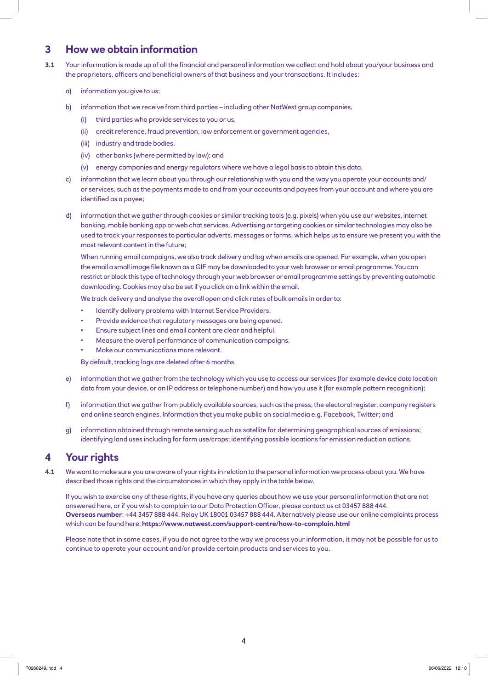#### **3 How we obtain information**

- **3.1** Your information is made up of all the financial and personal information we collect and hold about you/your business and the proprietors, officers and beneficial owners of that business and your transactions. It includes:
	- a) information you give to us;
	- b) information that we receive from third parties including other NatWest group companies,
		- (i) third parties who provide services to you or us,
		- (ii) credit reference, fraud prevention, law enforcement or government agencies,
		- (iii) industry and trade bodies,
		- (iv) other banks (where permitted by law); and
		- (v) energy companies and energy regulators where we have a legal basis to obtain this data.
	- c) information that we learn about you through our relationship with you and the way you operate your accounts and/ or services, such as the payments made to and from your accounts and payees from your account and where you are identified as a payee;
	- d) information that we gather through cookies or similar tracking tools (e.g. pixels) when you use our websites, internet banking, mobile banking app or web chat services. Advertising or targeting cookies or similar technologies may also be used to track your responses to particular adverts, messages or forms, which helps us to ensure we present you with the most relevant content in the future;

 When running email campaigns, we also track delivery and log when emails are opened. For example, when you open the email a small image file known as a GIF may be downloaded to your web browser or email programme. You can restrict or block this type of technology through your web browser or email programme settings by preventing automatic downloading. Cookies may also be set if you click on a link within the email.

We track delivery and analyse the overall open and click rates of bulk emails in order to:

- Identify delivery problems with Internet Service Providers.
- Provide evidence that regulatory messages are being opened.
- Ensure subject lines and email content are clear and helpful.
- Measure the overall performance of communication campaigns.
- Make our communications more relevant.

By default, tracking logs are deleted after 6 months.

- e) information that we gather from the technology which you use to access our services (for example device data location data from your device, or an IP address or telephone number) and how you use it (for example pattern recognition);
- f) information that we gather from publicly available sources, such as the press, the electoral register, company registers and online search engines. Information that you make public on social media e.g. Facebook, Twitter; and
- g) information obtained through remote sensing such as satellite for determining geographical sources of emissions; identifying land uses including for farm use/crops; identifying possible locations for emission reduction actions.

#### **4 Your rights**

**4.1** We want to make sure you are aware of your rights in relation to the personal information we process about you. We have described those rights and the circumstances in which they apply in the table below.

 If you wish to exercise any of these rights, if you have any queries about how we use your personal information that are not answered here, or if you wish to complain to our Data Protection Officer, please contact us at 03457 888 444. **Overseas number**: +44 3457 888 444. Relay UK 18001 03457 888 444. Alternatively please use our online complaints process which can be found here: **https://www.natwest.com/support-centre/how-to-complain.html**

 Please note that in some cases, if you do not agree to the way we process your information, it may not be possible for us to continue to operate your account and/or provide certain products and services to you.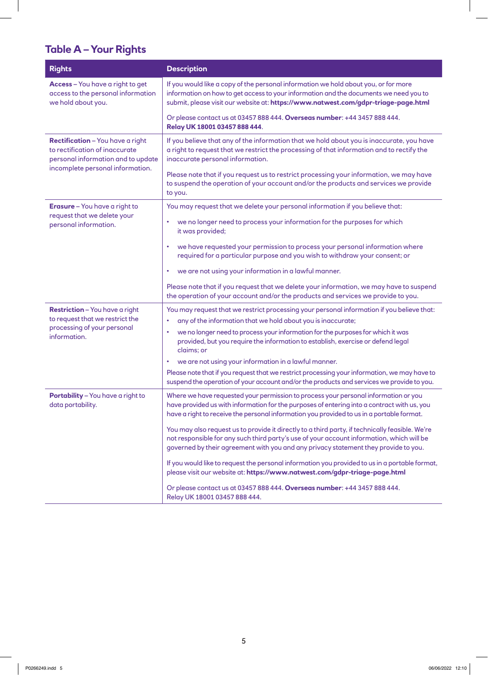## **Table A – Your Rights**

| <b>Rights</b>                                                                                                   | <b>Description</b>                                                                                                                                                                                                                                                                  |  |  |
|-----------------------------------------------------------------------------------------------------------------|-------------------------------------------------------------------------------------------------------------------------------------------------------------------------------------------------------------------------------------------------------------------------------------|--|--|
| Access - You have a right to get<br>access to the personal information<br>we hold about you.                    | If you would like a copy of the personal information we hold about you, or for more<br>information on how to get access to your information and the documents we need you to<br>submit, please visit our website at: https://www.natwest.com/gdpr-triage-page.html                  |  |  |
|                                                                                                                 | Or please contact us at 03457 888 444. Overseas number: +44 3457 888 444.<br>Relay UK 18001 03457 888 444.                                                                                                                                                                          |  |  |
| <b>Rectification</b> - You have a right<br>to rectification of inaccurate<br>personal information and to update | If you believe that any of the information that we hold about you is inaccurate, you have<br>a right to request that we restrict the processing of that information and to rectify the<br>inaccurate personal information.                                                          |  |  |
| incomplete personal information.                                                                                | Please note that if you request us to restrict processing your information, we may have<br>to suspend the operation of your account and/or the products and services we provide<br>to you.                                                                                          |  |  |
| <b>Erasure</b> - You have a right to<br>request that we delete your                                             | You may request that we delete your personal information if you believe that:                                                                                                                                                                                                       |  |  |
| personal information.                                                                                           | we no longer need to process your information for the purposes for which<br>٠<br>it was provided;                                                                                                                                                                                   |  |  |
|                                                                                                                 | we have requested your permission to process your personal information where<br>٠<br>required for a particular purpose and you wish to withdraw your consent; or                                                                                                                    |  |  |
|                                                                                                                 | we are not using your information in a lawful manner.<br>٠                                                                                                                                                                                                                          |  |  |
|                                                                                                                 | Please note that if you request that we delete your information, we may have to suspend<br>the operation of your account and/or the products and services we provide to you.                                                                                                        |  |  |
| <b>Restriction</b> - You have a right<br>to request that we restrict the                                        | You may request that we restrict processing your personal information if you believe that:                                                                                                                                                                                          |  |  |
| processing of your personal                                                                                     | any of the information that we hold about you is inaccurate;<br>٠                                                                                                                                                                                                                   |  |  |
| information.                                                                                                    | we no longer need to process your information for the purposes for which it was<br>provided, but you require the information to establish, exercise or defend legal<br>claims; or                                                                                                   |  |  |
|                                                                                                                 | we are not using your information in a lawful manner.<br>٠                                                                                                                                                                                                                          |  |  |
|                                                                                                                 | Please note that if you request that we restrict processing your information, we may have to<br>suspend the operation of your account and/or the products and services we provide to you.                                                                                           |  |  |
| Portability - You have a right to<br>data portability.                                                          | Where we have requested your permission to process your personal information or you<br>have provided us with information for the purposes of entering into a contract with us, you<br>have a right to receive the personal information you provided to us in a portable format.     |  |  |
|                                                                                                                 | You may also request us to provide it directly to a third party, if technically feasible. We're<br>not responsible for any such third party's use of your account information, which will be<br>governed by their agreement with you and any privacy statement they provide to you. |  |  |
|                                                                                                                 | If you would like to request the personal information you provided to us in a portable format,<br>please visit our website at: https://www.natwest.com/gdpr-triage-page.html                                                                                                        |  |  |
|                                                                                                                 | Or please contact us at 03457 888 444. Overseas number: +44 3457 888 444.<br>Relay UK 18001 03457 888 444.                                                                                                                                                                          |  |  |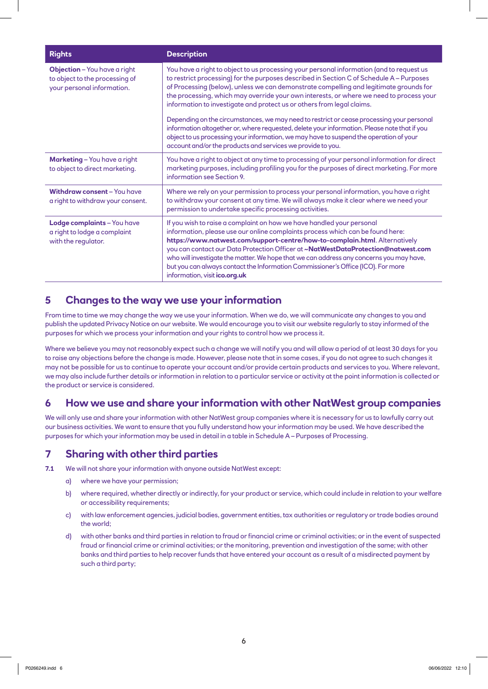| <b>Rights</b>                                                                                       | <b>Description</b>                                                                                                                                                                                                                                                                                                                                                                                                                                                                                                                                                                                                                                                                                                                                                                                        |  |
|-----------------------------------------------------------------------------------------------------|-----------------------------------------------------------------------------------------------------------------------------------------------------------------------------------------------------------------------------------------------------------------------------------------------------------------------------------------------------------------------------------------------------------------------------------------------------------------------------------------------------------------------------------------------------------------------------------------------------------------------------------------------------------------------------------------------------------------------------------------------------------------------------------------------------------|--|
| <b>Objection</b> - You have a right<br>to object to the processing of<br>your personal information. | You have a right to object to us processing your personal information (and to request us<br>to restrict processing) for the purposes described in Section C of Schedule A - Purposes<br>of Processing (below), unless we can demonstrate compelling and legitimate grounds for<br>the processing, which may override your own interests, or where we need to process your<br>information to investigate and protect us or others from legal claims.<br>Depending on the circumstances, we may need to restrict or cease processing your personal<br>information altogether or, where requested, delete your information. Please note that if you<br>object to us processing your information, we may have to suspend the operation of your<br>account and/or the products and services we provide to you. |  |
|                                                                                                     |                                                                                                                                                                                                                                                                                                                                                                                                                                                                                                                                                                                                                                                                                                                                                                                                           |  |
| <b>Marketing</b> - You have a right<br>to object to direct marketing.                               | You have a right to object at any time to processing of your personal information for direct<br>marketing purposes, including profiling you for the purposes of direct marketing. For more<br>information see Section 9.                                                                                                                                                                                                                                                                                                                                                                                                                                                                                                                                                                                  |  |
| <b>Withdraw consent - You have</b><br>a right to withdraw your consent.                             | Where we rely on your permission to process your personal information, you have a right<br>to withdraw your consent at any time. We will always make it clear where we need your<br>permission to undertake specific processing activities.                                                                                                                                                                                                                                                                                                                                                                                                                                                                                                                                                               |  |
| Lodge complaints - You have<br>a right to lodge a complaint<br>with the regulator.                  | If you wish to raise a complaint on how we have handled your personal<br>information, please use our online complaints process which can be found here:<br>https://www.natwest.com/support-centre/how-to-complain.html. Alternatively<br>you can contact our Data Protection Officer at ~NatWestDataProtection@natwest.com<br>who will investigate the matter. We hope that we can address any concerns you may have,<br>but you can always contact the Information Commissioner's Office (ICO). For more<br>information, visit ico.org.uk                                                                                                                                                                                                                                                                |  |

#### **5 Changes to the way we use your information**

From time to time we may change the way we use your information. When we do, we will communicate any changes to you and publish the updated Privacy Notice on our website. We would encourage you to visit our website regularly to stay informed of the purposes for which we process your information and your rights to control how we process it.

Where we believe you may not reasonably expect such a change we will notify you and will allow a period of at least 30 days for you to raise any objections before the change is made. However, please note that in some cases, if you do not agree to such changes it may not be possible for us to continue to operate your account and/or provide certain products and services to you. Where relevant, we may also include further details or information in relation to a particular service or activity at the point information is collected or the product or service is considered.

#### **6 How we use and share your information with other NatWest group companies**

We will only use and share your information with other NatWest group companies where it is necessary for us to lawfully carry out our business activities. We want to ensure that you fully understand how your information may be used. We have described the purposes for which your information may be used in detail in a table in Schedule A – Purposes of Processing.

#### **7 Sharing with other third parties**

**7.1** We will not share your information with anyone outside NatWest except:

- a) where we have your permission;
- b) where required, whether directly or indirectly, for your product or service, which could include in relation to your welfare or accessibility requirements;
- c) with law enforcement agencies, judicial bodies, government entities, tax authorities or regulatory or trade bodies around the world;
- d) with other banks and third parties in relation to fraud or financial crime or criminal activities; or in the event of suspected fraud or financial crime or criminal activities; or the monitoring, prevention and investigation of the same; with other banks and third parties to help recover funds that have entered your account as a result of a misdirected payment by such a third party;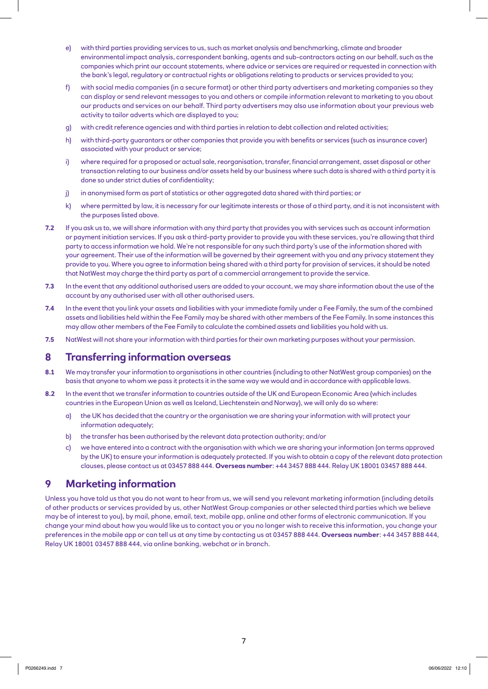- e) with third parties providing services to us, such as market analysis and benchmarking, climate and broader environmental impact analysis, correspondent banking, agents and sub-contractors acting on our behalf, such as the companies which print our account statements, where advice or services are required or requested in connection with the bank's legal, regulatory or contractual rights or obligations relating to products or services provided to you;
- f) with social media companies (in a secure format) or other third party advertisers and marketing companies so they can display or send relevant messages to you and others or compile information relevant to marketing to you about our products and services on our behalf. Third party advertisers may also use information about your previous web activity to tailor adverts which are displayed to you;
- g) with credit reference agencies and with third parties in relation to debt collection and related activities;
- h) with third-party guarantors or other companies that provide you with benefits or services (such as insurance cover) associated with your product or service;
- i) where required for a proposed or actual sale, reorganisation, transfer, financial arrangement, asset disposal or other transaction relating to our business and/or assets held by our business where such data is shared with a third party it is done so under strict duties of confidentiality;
- j) in anonymised form as part of statistics or other aggregated data shared with third parties; or
- k) where permitted by law, it is necessary for our legitimate interests or those of a third party, and it is not inconsistent with the purposes listed above.
- **7.2** If you ask us to, we will share information with any third party that provides you with services such as account information or payment initiation services. If you ask a third-party provider to provide you with these services, you're allowing that third party to access information we hold. We're not responsible for any such third party's use of the information shared with your agreement. Their use of the information will be governed by their agreement with you and any privacy statement they provide to you. Where you agree to information being shared with a third party for provision of services, it should be noted that NatWest may charge the third party as part of a commercial arrangement to provide the service.
- **7.3** In the event that any additional authorised users are added to your account, we may share information about the use of the account by any authorised user with all other authorised users.
- **7.4** In the event that you link your assets and liabilities with your immediate family under a Fee Family, the sum of the combined assets and liabilities held within the Fee Family may be shared with other members of the Fee Family. In some instances this may allow other members of the Fee Family to calculate the combined assets and liabilities you hold with us.
- **7.5** NatWest will not share your information with third parties for their own marketing purposes without your permission.

#### **8 Transferring information overseas**

- **8.1** We may transfer your information to organisations in other countries (including to other NatWest group companies) on the basis that anyone to whom we pass it protects it in the same way we would and in accordance with applicable laws.
- **8.2** In the event that we transfer information to countries outside of the UK and European Economic Area (which includes countries in the European Union as well as Iceland, Liechtenstein and Norway), we will only do so where:
	- a) the UK has decided that the country or the organisation we are sharing your information with will protect your information adequately;
	- b) the transfer has been authorised by the relevant data protection authority; and/or
	- c) we have entered into a contract with the organisation with which we are sharing your information (on terms approved by the UK) to ensure your information is adequately protected. If you wish to obtain a copy of the relevant data protection clauses, please contact us at 03457 888 444. **Overseas number**: +44 3457 888 444. Relay UK 18001 03457 888 444.

#### **9 Marketing information**

Unless you have told us that you do not want to hear from us, we will send you relevant marketing information (including details of other products or services provided by us, other NatWest Group companies or other selected third parties which we believe may be of interest to you), by mail, phone, email, text, mobile app, online and other forms of electronic communication. If you change your mind about how you would like us to contact you or you no longer wish to receive this information, you change your preferences in the mobile app or can tell us at any time by contacting us at 03457 888 444. **Overseas number**: +44 3457 888 444, Relay UK 18001 03457 888 444, via online banking, webchat or in branch.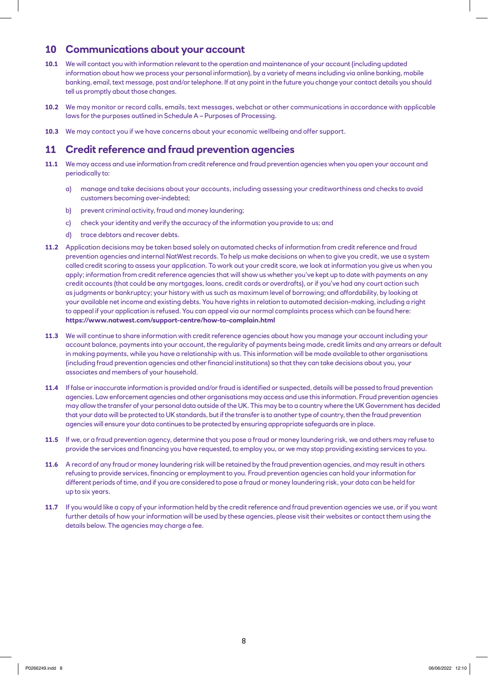#### **10 Communications about your account**

- **10.1** We will contact you with information relevant to the operation and maintenance of your account (including updated information about how we process your personal information), by a variety of means including via online banking, mobile banking, email, text message, post and/or telephone. If at any point in the future you change your contact details you should tell us promptly about those changes.
- **10.2** We may monitor or record calls, emails, text messages, webchat or other communications in accordance with applicable laws for the purposes outlined in Schedule A – Purposes of Processing.
- **10.3** We may contact you if we have concerns about your economic wellbeing and offer support.

#### **11 Credit reference and fraud prevention agencies**

- **11.1** We may access and use information from credit reference and fraud prevention agencies when you open your account and periodically to:
	- a) manage and take decisions about your accounts, including assessing your creditworthiness and checks to avoid customers becoming over-indebted;
	- b) prevent criminal activity, fraud and money laundering;
	- c) check your identity and verify the accuracy of the information you provide to us; and
	- d) trace debtors and recover debts.
- **11.2** Application decisions may be taken based solely on automated checks of information from credit reference and fraud prevention agencies and internal NatWest records. To help us make decisions on when to give you credit, we use a system called credit scoring to assess your application. To work out your credit score, we look at information you give us when you apply; information from credit reference agencies that will show us whether you've kept up to date with payments on any credit accounts (that could be any mortgages, loans, credit cards or overdrafts), or if you've had any court action such as judgments or bankruptcy; your history with us such as maximum level of borrowing; and affordability, by looking at your available net income and existing debts. You have rights in relation to automated decision-making, including a right to appeal if your application is refused. You can appeal via our normal complaints process which can be found here: **https://www.natwest.com/support-centre/how-to-complain.html**
- **11.3** We will continue to share information with credit reference agencies about how you manage your account including your account balance, payments into your account, the regularity of payments being made, credit limits and any arrears or default in making payments, while you have a relationship with us. This information will be made available to other organisations (including fraud prevention agencies and other financial institutions) so that they can take decisions about you, your associates and members of your household.
- **11.4** If false or inaccurate information is provided and/or fraud is identified or suspected, details will be passed to fraud prevention agencies. Law enforcement agencies and other organisations may access and use this information. Fraud prevention agencies may allow the transfer of your personal data outside of the UK. This may be to a country where the UK Government has decided that your data will be protected to UK standards, but if the transfer is to another type of country, then the fraud prevention agencies will ensure your data continues to be protected by ensuring appropriate safeguards are in place.
- **11.5** If we, or a fraud prevention agency, determine that you pose a fraud or money laundering risk, we and others may refuse to provide the services and financing you have requested, to employ you, or we may stop providing existing services to you.
- **11.6** A record of any fraud or money laundering risk will be retained by the fraud prevention agencies, and may result in others refusing to provide services, financing or employment to you. Fraud prevention agencies can hold your information for different periods of time, and if you are considered to pose a fraud or money laundering risk, your data can be held for up to six years.
- **11.7** If you would like a copy of your information held by the credit reference and fraud prevention agencies we use, or if you want further details of how your information will be used by these agencies, please visit their websites or contact them using the details below. The agencies may charge a fee.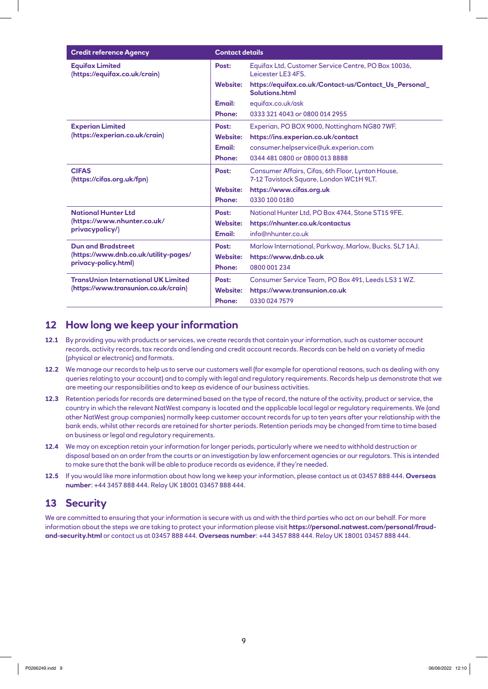| <b>Credit reference Agency</b>                          | <b>Contact details</b> |                                                                           |
|---------------------------------------------------------|------------------------|---------------------------------------------------------------------------|
| <b>Equifax Limited</b><br>(https://equifax.co.uk/crain) | Post:                  | Equifax Ltd, Customer Service Centre, PO Box 10036,<br>Leicester LE3 4FS. |
|                                                         | <b>Website:</b>        | https://equifax.co.uk/Contact-us/Contact_Us_Personal_<br>Solutions.html   |
|                                                         | Email:                 | equifax.co.uk/ask                                                         |
|                                                         | <b>Phone:</b>          | 0333 321 4043 or 0800 014 2955                                            |
| <b>Experian Limited</b>                                 | Post:                  | Experian, PO BOX 9000, Nottingham NG80 7WF.                               |
| (https://experian.co.uk/crain)                          | <b>Website:</b>        | https://ins.experian.co.uk/contact                                        |
|                                                         | Email:                 | consumer.helpservice@uk.experian.com                                      |
|                                                         | <b>Phone:</b>          | 0344 481 0800 or 0800 013 8888                                            |
| <b>CIFAS</b>                                            | Post:                  | Consumer Affairs, Cifas, 6th Floor, Lynton House,                         |
| (https://cifas.org.uk/fpn)                              |                        | 7-12 Tavistock Square, London WC1H 9LT.                                   |
|                                                         | <b>Website:</b>        | https://www.cifas.org.uk                                                  |
|                                                         | <b>Phone:</b>          | 0330 100 0180                                                             |
| <b>National Hunter Ltd</b>                              | Post:                  | National Hunter Ltd, PO Box 4744, Stone ST15 9FE.                         |
| (https://www.nhunter.co.uk/                             | <b>Website:</b>        | https://nhunter.co.uk/contactus                                           |
| privacypolicy/)                                         | Email:                 | info@nhunter.co.uk                                                        |
| <b>Dun and Bradstreet</b>                               | Post:                  | Marlow International, Parkway, Marlow, Bucks. SL7 1AJ.                    |
| (https://www.dnb.co.uk/utility-pages/                   | <b>Website:</b>        | https://www.dnb.co.uk                                                     |
| privacy-policy.html)                                    | <b>Phone:</b>          | 0800 001 234                                                              |
| <b>TransUnion International UK Limited</b>              | Post:                  | Consumer Service Team, PO Box 491, Leeds LS3 1 WZ.                        |
| (https://www.transunion.co.uk/crain)                    | <b>Website:</b>        | https://www.transunion.co.uk                                              |
|                                                         | <b>Phone:</b>          | 0330 024 7579                                                             |

#### **12 How long we keep your information**

- **12.1** By providing you with products or services, we create records that contain your information, such as customer account records, activity records, tax records and lending and credit account records. Records can be held on a variety of media (physical or electronic) and formats.
- **12.2** We manage our records to help us to serve our customers well (for example for operational reasons, such as dealing with any queries relating to your account) and to comply with legal and regulatory requirements. Records help us demonstrate that we are meeting our responsibilities and to keep as evidence of our business activities.
- **12.3** Retention periods for records are determined based on the type of record, the nature of the activity, product or service, the country in which the relevant NatWest company is located and the applicable local legal or regulatory requirements. We (and other NatWest group companies) normally keep customer account records for up to ten years after your relationship with the bank ends, whilst other records are retained for shorter periods. Retention periods may be changed from time to time based on business or legal and regulatory requirements.
- **12.4** We may on exception retain your information for longer periods, particularly where we need to withhold destruction or disposal based on an order from the courts or an investigation by law enforcement agencies or our regulators. This is intended to make sure that the bank will be able to produce records as evidence, if they're needed.
- **12.5** If you would like more information about how long we keep your information, please contact us at 03457 888 444. **Overseas number**: +44 3457 888 444. Relay UK 18001 03457 888 444.

#### **13 Security**

We are committed to ensuring that your information is secure with us and with the third parties who act on our behalf. For more information about the steps we are taking to protect your information please visit **https://personal.natwest.com/personal/fraudand-security.html** or contact us at 03457 888 444. **Overseas number**: +44 3457 888 444. Relay UK 18001 03457 888 444.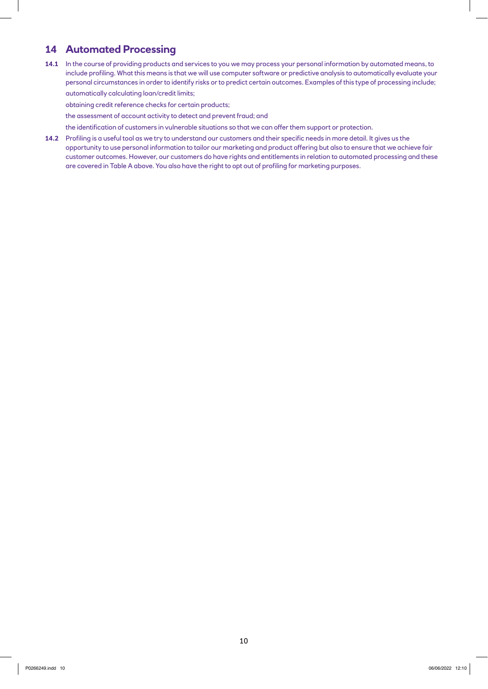#### **14 Automated Processing**

**14.1** In the course of providing products and services to you we may process your personal information by automated means, to include profiling. What this means is that we will use computer software or predictive analysis to automatically evaluate your personal circumstances in order to identify risks or to predict certain outcomes. Examples of this type of processing include;

automatically calculating loan/credit limits;

obtaining credit reference checks for certain products;

the assessment of account activity to detect and prevent fraud; and

the identification of customers in vulnerable situations so that we can offer them support or protection.

**14.2** Profiling is a useful tool as we try to understand our customers and their specific needs in more detail. It gives us the opportunity to use personal information to tailor our marketing and product offering but also to ensure that we achieve fair customer outcomes. However, our customers do have rights and entitlements in relation to automated processing and these are covered in Table A above. You also have the right to opt out of profiling for marketing purposes.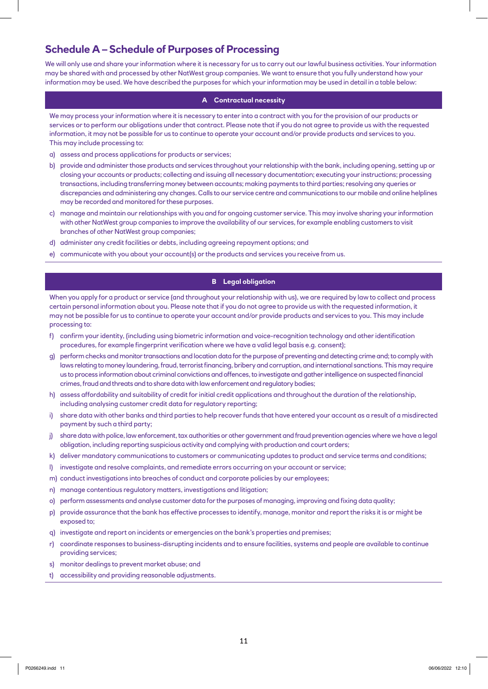#### **Schedule A – Schedule of Purposes of Processing**

We will only use and share your information where it is necessary for us to carry out our lawful business activities. Your information may be shared with and processed by other NatWest group companies. We want to ensure that you fully understand how your information may be used. We have described the purposes for which your information may be used in detail in a table below:

#### **A Contractual necessity**

We may process your information where it is necessary to enter into a contract with you for the provision of our products or services or to perform our obligations under that contract. Please note that if you do not agree to provide us with the requested information, it may not be possible for us to continue to operate your account and/or provide products and services to you. This may include processing to:

- a) assess and process applications for products or services;
- b) provide and administer those products and services throughout your relationship with the bank, including opening, setting up or closing your accounts or products; collecting and issuing all necessary documentation; executing your instructions; processing transactions, including transferring money between accounts; making payments to third parties; resolving any queries or discrepancies and administering any changes. Calls to our service centre and communications to our mobile and online helplines may be recorded and monitored for these purposes.
- c) manage and maintain our relationships with you and for ongoing customer service. This may involve sharing your information with other NatWest group companies to improve the availability of our services, for example enabling customers to visit branches of other NatWest group companies;
- d) administer any credit facilities or debts, including agreeing repayment options; and
- e) communicate with you about your account(s) or the products and services you receive from us.

#### **B Legal obligation**

When you apply for a product or service (and throughout your relationship with us), we are required by law to collect and process certain personal information about you. Please note that if you do not agree to provide us with the requested information, it may not be possible for us to continue to operate your account and/or provide products and services to you. This may include processing to:

- f) confirm your identity, (including using biometric information and voice-recognition technology and other identification procedures, for example fingerprint verification where we have a valid legal basis e.g. consent);
- g) perform checks and monitor transactions and location data for the purpose of preventing and detecting crime and; to comply with laws relating to money laundering, fraud, terrorist financing, bribery and corruption, and international sanctions. This may require us to process information about criminal convictions and offences, to investigate and gather intelligence on suspected financial crimes, fraud and threats and to share data with law enforcement and regulatory bodies;
- h) assess affordability and suitability of credit for initial credit applications and throughout the duration of the relationship, including analysing customer credit data for regulatory reporting;
- i) share data with other banks and third parties to help recover funds that have entered your account as a result of a misdirected payment by such a third party;
- j) share data with police, law enforcement, tax authorities or other government and fraud prevention agencies where we have a legal obligation, including reporting suspicious activity and complying with production and court orders;
- k) deliver mandatory communications to customers or communicating updates to product and service terms and conditions;
- l) investigate and resolve complaints, and remediate errors occurring on your account or service;
- m) conduct investigations into breaches of conduct and corporate policies by our employees;
- n) manage contentious regulatory matters, investigations and litigation;
- o) perform assessments and analyse customer data for the purposes of managing, improving and fixing data quality;
- p) provide assurance that the bank has effective processes to identify, manage, monitor and report the risks it is or might be exposed to;
- q) investigate and report on incidents or emergencies on the bank's properties and premises;
- r) coordinate responses to business-disrupting incidents and to ensure facilities, systems and people are available to continue providing services;
- s) monitor dealings to prevent market abuse; and
- t) accessibility and providing reasonable adjustments.